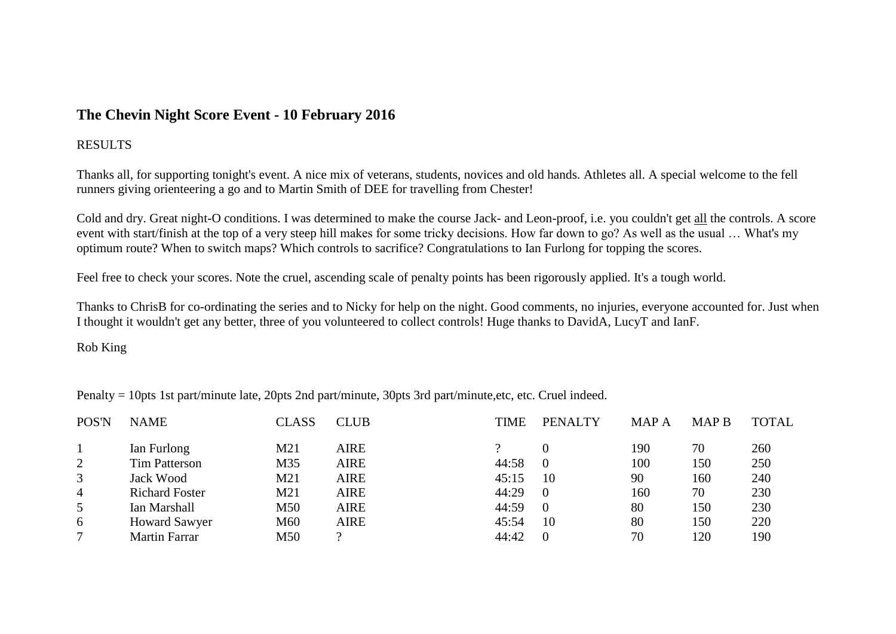## **The Chevin Night Score Event - 10 February 2016**

## **RESULTS**

Thanks all, for supporting tonight's event. A nice mix of veterans, students, novices and old hands. Athletes all. A special welcome to the fell runners giving orienteering a go and to Martin Smith of DEE for travelling from Chester!

Cold and dry. Great night-O conditions. I was determined to make the course Jack- and Leon-proof, i.e. you couldn't get all the controls. A score event with start/finish at the top of a very steep hill makes for some tricky decisions. How far down to go? As well as the usual … What's my optimum route? When to switch maps? Which controls to sacrifice? Congratulations to Ian Furlong for topping the scores.

Feel free to check your scores. Note the cruel, ascending scale of penalty points has been rigorously applied. It's a tough world.

Thanks to ChrisB for co-ordinating the series and to Nicky for help on the night. Good comments, no injuries, everyone accounted for. Just when I thought it wouldn't get any better, three of you volunteered to collect controls! Huge thanks to DavidA, LucyT and IanF.

Rob King

Penalty = 10pts 1st part/minute late, 20pts 2nd part/minute, 30pts 3rd part/minute,etc, etc. Cruel indeed.

| POS'N          | <b>NAME</b>           | <b>CLASS</b> | <b>CLUB</b> | <b>TIME</b> | <b>PENALTY</b> | <b>MAPA</b> | <b>MAP B</b> | <b>TOTAL</b> |
|----------------|-----------------------|--------------|-------------|-------------|----------------|-------------|--------------|--------------|
|                | Ian Furlong           | M21          | <b>AIRE</b> |             |                | 190         | 70           | 260          |
| $\overline{2}$ | <b>Tim Patterson</b>  | M35          | AIRE        | 44:58       | -0             | 100         | 150          | 250          |
| 3              | Jack Wood             | M21          | <b>AIRE</b> | 45:15       | 10             | 90          | 160          | 240          |
| $\overline{4}$ | <b>Richard Foster</b> | M21          | <b>AIRE</b> | 44:29       | - 0            | 160         | 70           | 230          |
| 5              | Ian Marshall          | M50          | AIRE        | 44:59       | - 0            | 80          | 150          | 230          |
| 6              | <b>Howard Sawyer</b>  | M60          | <b>AIRE</b> | 45:54       | 10             | 80          | 150          | 220          |
|                | <b>Martin Farrar</b>  | M50          | $\Omega$    | 44:42       | $\Omega$       | 70          | 120          | 190          |